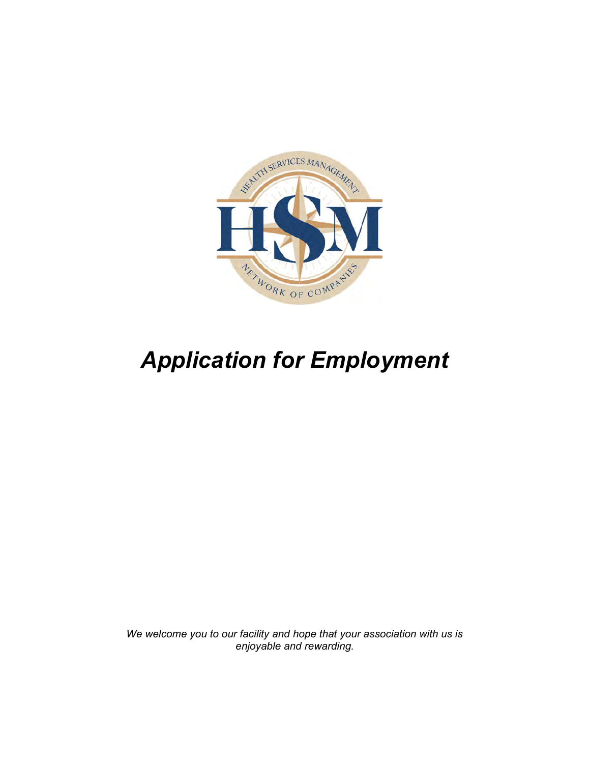

# Application for Employment

We welcome you to our facility and hope that your association with us is enjoyable and rewarding.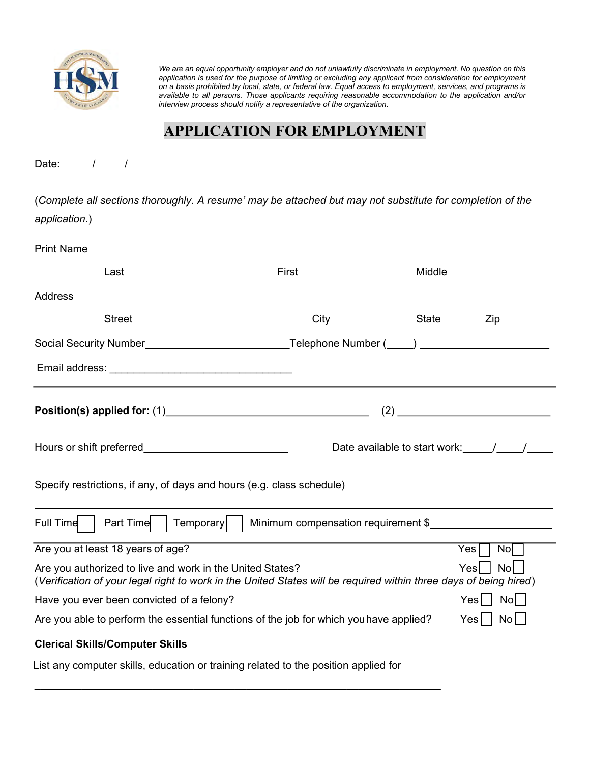

We are an equal opportunity employer and do not unlawfully discriminate in employment. No question on this application is used for the purpose of limiting or excluding any applicant from consideration for employment on a basis prohibited by local, state, or federal law. Equal access to employment, services, and programs is available to all persons. Those applicants requiring reasonable accommodation to the application and/or interview process should notify a representative of the organization.

# APPLICATION FOR EMPLOYMENT

Date:  $/$  /

(Complete all sections thoroughly. A resume' may be attached but may not substitute for completion of the application.)

| <b>Print Name</b>                                                                                                                                                                            |                                     |                                                         |                    |
|----------------------------------------------------------------------------------------------------------------------------------------------------------------------------------------------|-------------------------------------|---------------------------------------------------------|--------------------|
| Last                                                                                                                                                                                         | First                               | Middle                                                  |                    |
| <b>Address</b>                                                                                                                                                                               |                                     |                                                         |                    |
| <b>Street</b>                                                                                                                                                                                | City                                | <b>State</b>                                            | Zip                |
| Social Security Number__________________________________Telephone Number (____) ____________________                                                                                         |                                     |                                                         |                    |
|                                                                                                                                                                                              |                                     |                                                         |                    |
|                                                                                                                                                                                              |                                     |                                                         | (2)                |
| Hours or shift preferred <b>contained</b>                                                                                                                                                    |                                     | Date available to start work: \[multimum / \[multimum / |                    |
| Specify restrictions, if any, of days and hours (e.g. class schedule)                                                                                                                        |                                     |                                                         |                    |
| Full Time<br>Part Time<br>Temporary                                                                                                                                                          | Minimum compensation requirement \$ |                                                         |                    |
| Are you at least 18 years of age?                                                                                                                                                            |                                     |                                                         | $Yes$ $\Box$<br>No |
| No<br>Are you authorized to live and work in the United States?<br>Yesl<br>(Verification of your legal right to work in the United States will be required within three days of being hired) |                                     |                                                         |                    |
| Have you ever been convicted of a felony?                                                                                                                                                    |                                     |                                                         | Yes   No           |
| Are you able to perform the essential functions of the job for which you have applied?<br>$Yes$   No                                                                                         |                                     |                                                         |                    |
| <b>Clerical Skills/Computer Skills</b>                                                                                                                                                       |                                     |                                                         |                    |

List any computer skills, education or training related to the position applied for

 $\mathcal{L}_\text{max}$  and  $\mathcal{L}_\text{max}$  and  $\mathcal{L}_\text{max}$  and  $\mathcal{L}_\text{max}$  and  $\mathcal{L}_\text{max}$  and  $\mathcal{L}_\text{max}$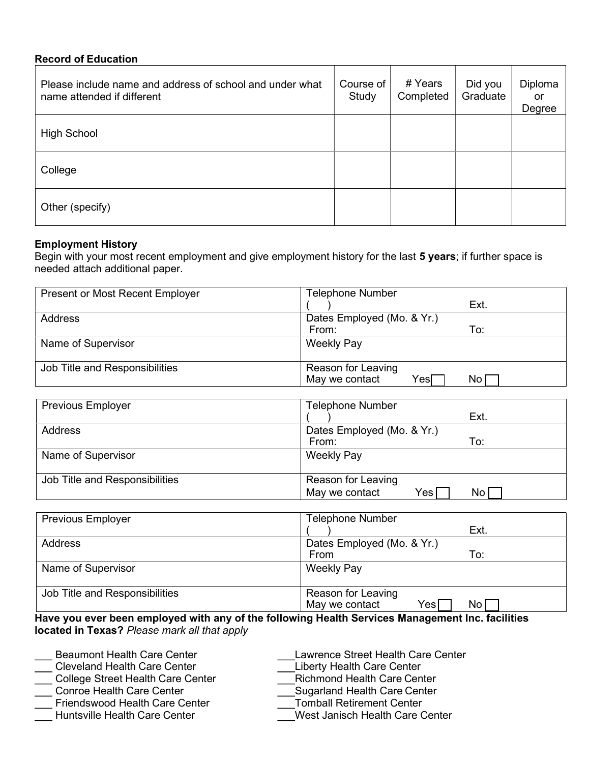### Record of Education

| Please include name and address of school and under what<br>name attended if different | Course of<br>Study | # Years<br>Completed | Did you<br>Graduate | Diploma<br>or<br>Degree |
|----------------------------------------------------------------------------------------|--------------------|----------------------|---------------------|-------------------------|
| <b>High School</b>                                                                     |                    |                      |                     |                         |
| College                                                                                |                    |                      |                     |                         |
| Other (specify)                                                                        |                    |                      |                     |                         |

# Employment History

Begin with your most recent employment and give employment history for the last 5 years; if further space is needed attach additional paper.

| <b>Present or Most Recent Employer</b> | Telephone Number           |      |
|----------------------------------------|----------------------------|------|
|                                        |                            | Ext. |
| Address                                | Dates Employed (Mo. & Yr.) |      |
|                                        | From:                      | To:  |
| Name of Supervisor                     | <b>Weekly Pay</b>          |      |
|                                        |                            |      |
| Job Title and Responsibilities         | Reason for Leaving         |      |
|                                        | May we contact<br>YesΓ     | No   |

| <b>Previous Employer</b>       | <b>Telephone Number</b>                           |
|--------------------------------|---------------------------------------------------|
|                                | Ext.                                              |
| Address                        | Dates Employed (Mo. & Yr.)                        |
|                                | From:<br>To:                                      |
| Name of Supervisor             | <b>Weekly Pay</b>                                 |
| Job Title and Responsibilities | Reason for Leaving<br>May we contact<br>Yes<br>No |

| <b>Previous Employer</b>       | <b>Telephone Number</b>                                         |
|--------------------------------|-----------------------------------------------------------------|
|                                | Ext.                                                            |
| <b>Address</b>                 | Dates Employed (Mo. & Yr.)                                      |
|                                | To:<br>From                                                     |
| Name of Supervisor             | <b>Weekly Pay</b>                                               |
| Job Title and Responsibilities | Reason for Leaving<br>May we contact<br>No <sub>1</sub><br>Yes∣ |

Have you ever been employed with any of the following Health Services Management Inc. facilities located in Texas? Please mark all that apply

| <b>Beaumont Health Care Center</b>       | Lawrence Street Health Care Center |
|------------------------------------------|------------------------------------|
| <b>Cleveland Health Care Center</b>      | <b>Liberty Health Care Center</b>  |
| <b>College Street Health Care Center</b> | <b>Richmond Health Care Center</b> |
| <b>Conroe Health Care Center</b>         | Sugarland Health Care Center       |
| <b>Friendswood Health Care Center</b>    | <b>Tomball Retirement Center</b>   |
| Huntsville Health Care Center            | West Janisch Health Care Center    |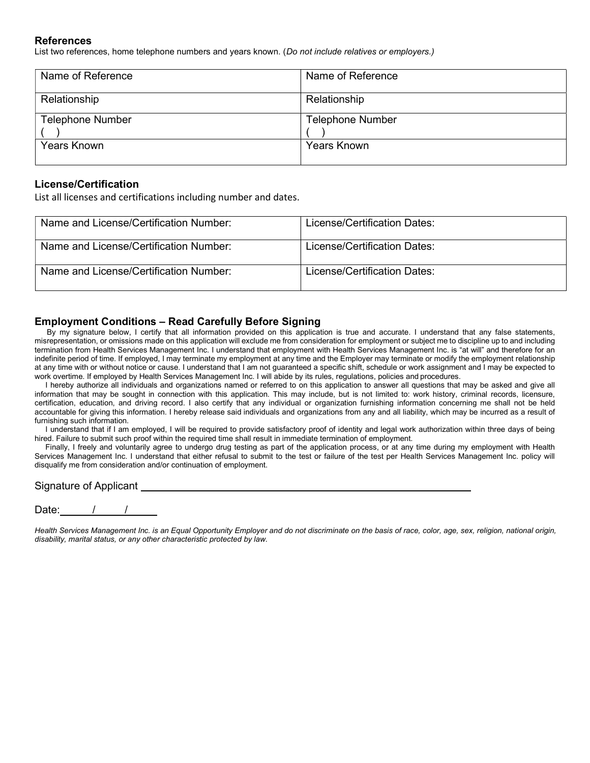#### References

List two references, home telephone numbers and years known. (Do not include relatives or employers.)

| Name of Reference       | Name of Reference       |
|-------------------------|-------------------------|
| Relationship            | Relationship            |
| <b>Telephone Number</b> | <b>Telephone Number</b> |
| <b>Years Known</b>      | <b>Years Known</b>      |

#### License/Certification

List all licenses and certifications including number and dates.

| Name and License/Certification Number: | License/Certification Dates: |
|----------------------------------------|------------------------------|
| Name and License/Certification Number: | License/Certification Dates: |
| Name and License/Certification Number: | License/Certification Dates: |

#### Employment Conditions – Read Carefully Before Signing

By my signature below, I certify that all information provided on this application is true and accurate. I understand that any false statements, misrepresentation, or omissions made on this application will exclude me from consideration for employment or subject me to discipline up to and including termination from Health Services Management Inc. I understand that employment with Health Services Management Inc. is "at will" and therefore for an indefinite period of time. If employed, I may terminate my employment at any time and the Employer may terminate or modify the employment relationship at any time with or without notice or cause. I understand that I am not guaranteed a specific shift, schedule or work assignment and I may be expected to work overtime. If employed by Health Services Management Inc. I will abide by its rules, regulations, policies and procedures.

I hereby authorize all individuals and organizations named or referred to on this application to answer all questions that may be asked and give all information that may be sought in connection with this application. This may include, but is not limited to: work history, criminal records, licensure, certification, education, and driving record. I also certify that any individual or organization furnishing information concerning me shall not be held accountable for giving this information. I hereby release said individuals and organizations from any and all liability, which may be incurred as a result of furnishing such information.

I understand that if I am employed, I will be required to provide satisfactory proof of identity and legal work authorization within three days of being hired. Failure to submit such proof within the required time shall result in immediate termination of employment.

Finally, I freely and voluntarily agree to undergo drug testing as part of the application process, or at any time during my employment with Health Services Management Inc. I understand that either refusal to submit to the test or failure of the test per Health Services Management Inc. policy will disqualify me from consideration and/or continuation of employment.

#### Signature of Applicant

Date:

Health Services Management Inc. is an Equal Opportunity Employer and do not discriminate on the basis of race, color, age, sex, religion, national origin, disability, marital status, or any other characteristic protected by law.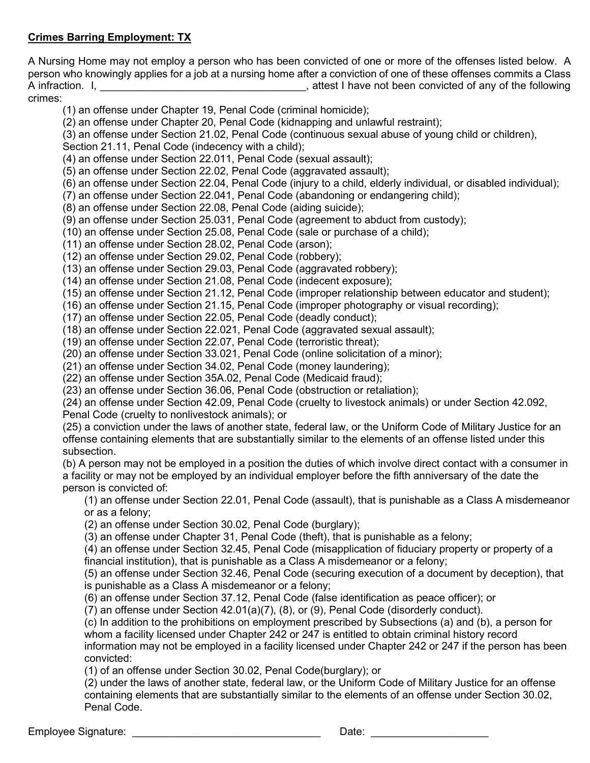# Crimes Barring Employment: TX

A Nursing Home may not employ a person who has been convicted of one or more of the offenses listed below. A person who knowingly applies for a job at a nursing home after a conviction of one of these offenses commits a Class A infraction. I, **A** infraction. I, crimes:

(1) an offense under Chapter 19, Penal Code (criminal homicide);

(2) an offense under Chapter 20, Penal Code (kidnapping and unlawful restraint);

(3) an offense under Section 21.02, Penal Code (continuous sexual abuse of young child or children),

Section 21.11, Penal Code (indecency with a child);

(4) an offense under Section 22.011, Penal Code (sexual assault);

(5) an offense under Section 22.02, Penal Code (aggravated assault);

(6) an offense under Section 22.04, Penal Code (injury to a child, elderly individual, or disabled individual);

(7) an offense under Section 22.041, Penal Code (abandoning or endangering child);

(8) an offense under Section 22.08, Penal Code (aiding suicide);

(9) an offense under Section 25.031, Penal Code (agreement to abduct from custody);

(10) an offense under Section 25.08, Penal Code (sale or purchase of a child);

(11) an offense under Section 28.02, Penal Code (arson);

(12) an offense under Section 29.02, Penal Code (robbery);

(13) an offense under Section 29.03, Penal Code (aggravated robbery);

(14) an offense under Section 21.08, Penal Code (indecent exposure);

(15) an offense under Section 21.12, Penal Code (improper relationship between educator and student);

(16) an offense under Section 21.15, Penal Code (improper photography or visual recording);

(17) an offense under Section 22.05, Penal Code (deadly conduct);

(18) an offense under Section 22.021, Penal Code (aggravated sexual assault);

(19) an offense under Section 22.07, Penal Code (terroristic threat);

(20) an offense under Section 33.021, Penal Code (online solicitation of a minor);

(21) an offense under Section 34.02, Penal Code (money laundering);

(22) an offense under Section 35A.02, Penal Code (Medicaid fraud);

(23) an offense under Section 36.06, Penal Code (obstruction or retaliation);

(24) an offense under Section 42.09, Penal Code (cruelty to livestock animals) or under Section 42.092, Penal Code (cruelty to nonlivestock animals); or

(25) a conviction under the laws of another state, federal law, or the Uniform Code of Military Justice for an offense containing elements that are substantially similar to the elements of an offense listed under this subsection.

(b) A person may not be employed in a position the duties of which involve direct contact with a consumer in a facility or may not be employed by an individual employer before the fifth anniversary of the date the person is convicted of:

(1) an offense under Section 22.01, Penal Code (assault), that is punishable as a Class A misdemeanor or as a felony;

(2) an offense under Section 30.02, Penal Code (burglary);

(3) an offense under Chapter 31, Penal Code (theft), that is punishable as a felony;

(4) an offense under Section 32.45, Penal Code (misapplication of fiduciary property or property of a financial institution), that is punishable as a Class A misdemeanor or a felony;

(5) an offense under Section 32.46, Penal Code (securing execution of a document by deception), that is punishable as a Class A misdemeanor or a felony;

(6) an offense under Section 37.12, Penal Code (false identification as peace officer); or

(7) an offense under Section 42.01(a)(7), (8), or (9), Penal Code (disorderly conduct).

(c) In addition to the prohibitions on employment prescribed by Subsections (a) and (b), a person for whom a facility licensed under Chapter 242 or 247 is entitled to obtain criminal history record information may not be employed in a facility licensed under Chapter 242 or 247 if the person has been convicted:

(1) of an offense under Section 30.02, Penal Code(burglary); or

(2) under the laws of another state, federal law, or the Uniform Code of Military Justice for an offense containing elements that are substantially similar to the elements of an offense under Section 30.02, Penal Code.

Employee Signature: \_\_\_\_\_\_\_\_\_\_\_\_\_\_\_\_\_\_\_\_\_\_\_\_\_\_\_\_\_\_\_\_ Date: \_\_\_\_\_\_\_\_\_\_\_\_\_\_\_\_\_\_\_\_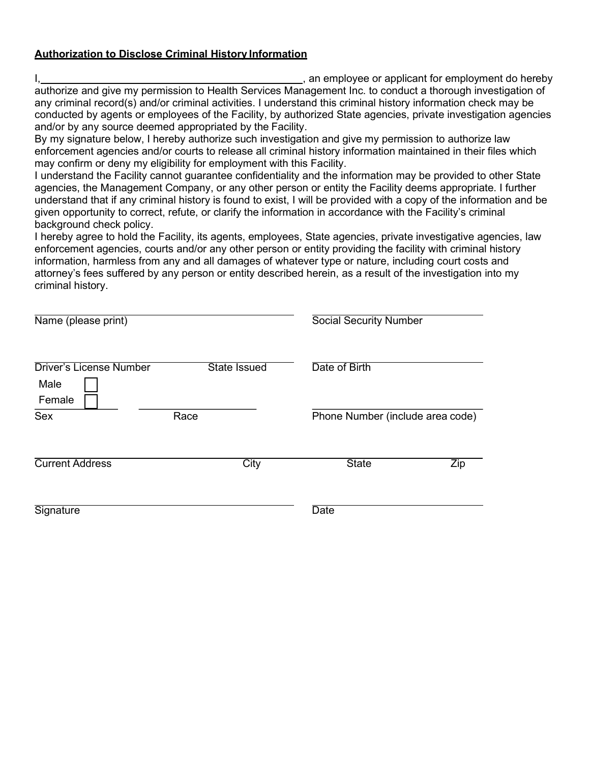## Authorization to Disclose Criminal History Information

I, 1, 2008 and the entry of the matter of the matter of the end of the metal of the metal of the end of the metal of the metal of the metal of the metal of the metal of the metal of the metal of the metal of the metal of t authorize and give my permission to Health Services Management Inc. to conduct a thorough investigation of any criminal record(s) and/or criminal activities. I understand this criminal history information check may be conducted by agents or employees of the Facility, by authorized State agencies, private investigation agencies and/or by any source deemed appropriated by the Facility.

By my signature below, I hereby authorize such investigation and give my permission to authorize law enforcement agencies and/or courts to release all criminal history information maintained in their files which may confirm or deny my eligibility for employment with this Facility.

I understand the Facility cannot guarantee confidentiality and the information may be provided to other State agencies, the Management Company, or any other person or entity the Facility deems appropriate. I further understand that if any criminal history is found to exist, I will be provided with a copy of the information and be given opportunity to correct, refute, or clarify the information in accordance with the Facility's criminal background check policy.

I hereby agree to hold the Facility, its agents, employees, State agencies, private investigative agencies, law enforcement agencies, courts and/or any other person or entity providing the facility with criminal history information, harmless from any and all damages of whatever type or nature, including court costs and attorney's fees suffered by any person or entity described herein, as a result of the investigation into my criminal history.

| Name (please print)             |                     | <b>Social Security Number</b>    |            |
|---------------------------------|---------------------|----------------------------------|------------|
| Driver's License Number<br>Male | <b>State Issued</b> | Date of Birth                    |            |
| Female<br>Sex                   | Race                | Phone Number (include area code) |            |
| <b>Current Address</b>          | City                | <b>State</b>                     | <b>Zip</b> |
| Signature                       |                     | <b>Date</b>                      |            |